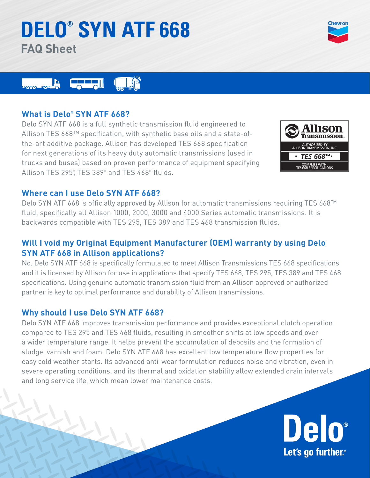# **DELO® SYN ATF 668 FAQ Sheet**





# **What is Delo® SYN ATF 668?**

Delo SYN ATF 668 is a full synthetic transmission fluid engineered to Allison TES 668™ specification, with synthetic base oils and a state-ofthe-art additive package. Allison has developed TES 668 specification for next generations of its heavy duty automatic transmissions (used in trucks and buses) based on proven performance of equipment specifying Allison TES 295® , TES 389® and TES 468® fluids.



## **Where can I use Delo SYN ATF 668?**

Delo SYN ATF 668 is officially approved by Allison for automatic transmissions requiring TES 668™ fluid, specifically all Allison 1000, 2000, 3000 and 4000 Series automatic transmissions. It is backwards compatible with TES 295, TES 389 and TES 468 transmission fluids.

# **Will I void my Original Equipment Manufacturer (OEM) warranty by using Delo SYN ATF 668 in Allison applications?**

No. Delo SYN ATF 668 is specifically formulated to meet Allison Transmissions TES 668 specifications and it is licensed by Allison for use in applications that specify TES 668, TES 295, TES 389 and TES 468 specifications. Using genuine automatic transmission fluid from an Allison approved or authorized partner is key to optimal performance and durability of Allison transmissions.

# **Why should I use Delo SYN ATF 668?**

Delo SYN ATF 668 improves transmission performance and provides exceptional clutch operation compared to TES 295 and TES 468 fluids, resulting in smoother shifts at low speeds and over a wider temperature range. It helps prevent the accumulation of deposits and the formation of sludge, varnish and foam. Delo SYN ATF 668 has excellent low temperature flow properties for easy cold weather starts. Its advanced anti-wear formulation reduces noise and vibration, even in severe operating conditions, and its thermal and oxidation stability allow extended drain intervals and long service life, which mean lower maintenance costs.